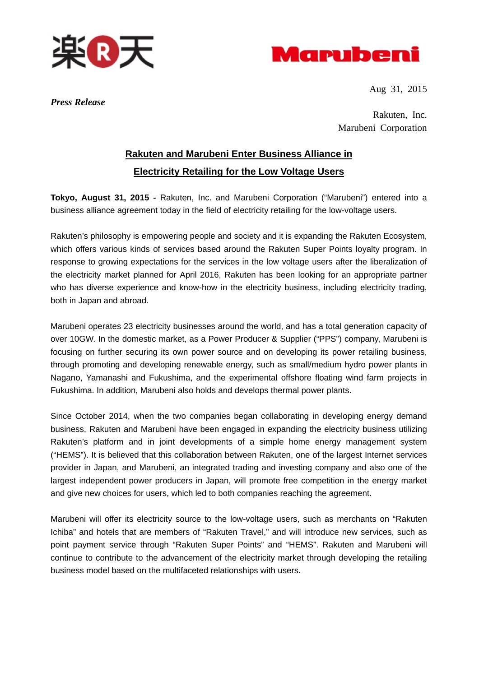



Aug 31, 2015

*Press Release* 

Rakuten, Inc. Marubeni Corporation

## **Rakuten and Marubeni Enter Business Alliance in Electricity Retailing for the Low Voltage Users**

**Tokyo, August 31, 2015 -** Rakuten, Inc. and Marubeni Corporation ("Marubeni") entered into a business alliance agreement today in the field of electricity retailing for the low-voltage users.

Rakuten's philosophy is empowering people and society and it is expanding the Rakuten Ecosystem, which offers various kinds of services based around the Rakuten Super Points loyalty program. In response to growing expectations for the services in the low voltage users after the liberalization of the electricity market planned for April 2016, Rakuten has been looking for an appropriate partner who has diverse experience and know-how in the electricity business, including electricity trading, both in Japan and abroad.

Marubeni operates 23 electricity businesses around the world, and has a total generation capacity of over 10GW. In the domestic market, as a Power Producer & Supplier ("PPS") company, Marubeni is focusing on further securing its own power source and on developing its power retailing business, through promoting and developing renewable energy, such as small/medium hydro power plants in Nagano, Yamanashi and Fukushima, and the experimental offshore floating wind farm projects in Fukushima. In addition, Marubeni also holds and develops thermal power plants.

Since October 2014, when the two companies began collaborating in developing energy demand business, Rakuten and Marubeni have been engaged in expanding the electricity business utilizing Rakuten's platform and in joint developments of a simple home energy management system ("HEMS"). It is believed that this collaboration between Rakuten, one of the largest Internet services provider in Japan, and Marubeni, an integrated trading and investing company and also one of the largest independent power producers in Japan, will promote free competition in the energy market and give new choices for users, which led to both companies reaching the agreement.

Marubeni will offer its electricity source to the low-voltage users, such as merchants on "Rakuten Ichiba" and hotels that are members of "Rakuten Travel," and will introduce new services, such as point payment service through "Rakuten Super Points" and "HEMS". Rakuten and Marubeni will continue to contribute to the advancement of the electricity market through developing the retailing business model based on the multifaceted relationships with users.